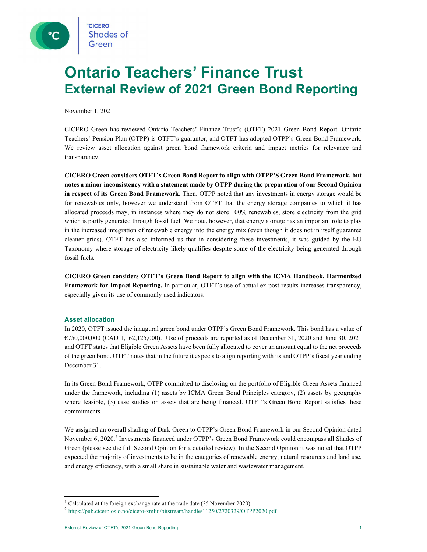

## Ontario Teachers' Finance Trust External Review of 2021 Green Bond Reporting

November 1, 2021

CICERO Green has reviewed Ontario Teachers' Finance Trust's (OTFT) 2021 Green Bond Report. Ontario Teachers' Pension Plan (OTPP) is OTFT's guarantor, and OTFT has adopted OTPP's Green Bond Framework. We review asset allocation against green bond framework criteria and impact metrics for relevance and transparency.

CICERO Green considers OTFT's Green Bond Report to align with OTPP'S Green Bond Framework, but notes a minor inconsistency with a statement made by OTPP during the preparation of our Second Opinion in respect of its Green Bond Framework. Then, OTPP noted that any investments in energy storage would be for renewables only, however we understand from OTFT that the energy storage companies to which it has allocated proceeds may, in instances where they do not store 100% renewables, store electricity from the grid which is partly generated through fossil fuel. We note, however, that energy storage has an important role to play in the increased integration of renewable energy into the energy mix (even though it does not in itself guarantee cleaner grids). OTFT has also informed us that in considering these investments, it was guided by the EU Taxonomy where storage of electricity likely qualifies despite some of the electricity being generated through fossil fuels.

CICERO Green considers OTFT's Green Bond Report to align with the ICMA Handbook, Harmonized Framework for Impact Reporting. In particular, OTFT's use of actual ex-post results increases transparency, especially given its use of commonly used indicators.

#### Asset allocation

In 2020, OTFT issued the inaugural green bond under OTPP's Green Bond Framework. This bond has a value of  $6750,000,000$  (CAD 1,162,125,000).<sup>1</sup> Use of proceeds are reported as of December 31, 2020 and June 30, 2021 and OTFT states that Eligible Green Assets have been fully allocated to cover an amount equal to the net proceeds of the green bond. OTFT notes that in the future it expects to align reporting with its and OTPP's fiscal year ending December 31.

In its Green Bond Framework, OTPP committed to disclosing on the portfolio of Eligible Green Assets financed under the framework, including (1) assets by ICMA Green Bond Principles category, (2) assets by geography where feasible, (3) case studies on assets that are being financed. OTFT's Green Bond Report satisfies these commitments.

We assigned an overall shading of Dark Green to OTPP's Green Bond Framework in our Second Opinion dated November 6, 2020.<sup>2</sup> Investments financed under OTPP's Green Bond Framework could encompass all Shades of Green (please see the full Second Opinion for a detailed review). In the Second Opinion it was noted that OTPP expected the majority of investments to be in the categories of renewable energy, natural resources and land use, and energy efficiency, with a small share in sustainable water and wastewater management.

<sup>&</sup>lt;sup>1</sup> Calculated at the foreign exchange rate at the trade date (25 November 2020).

<sup>2</sup> https://pub.cicero.oslo.no/cicero-xmlui/bitstream/handle/11250/2720329/OTPP2020.pdf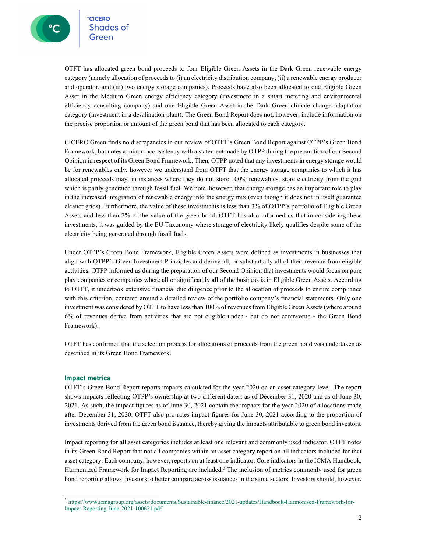OTFT has allocated green bond proceeds to four Eligible Green Assets in the Dark Green renewable energy category (namely allocation of proceeds to (i) an electricity distribution company, (ii) a renewable energy producer and operator, and (iii) two energy storage companies). Proceeds have also been allocated to one Eligible Green Asset in the Medium Green energy efficiency category (investment in a smart metering and environmental efficiency consulting company) and one Eligible Green Asset in the Dark Green climate change adaptation category (investment in a desalination plant). The Green Bond Report does not, however, include information on the precise proportion or amount of the green bond that has been allocated to each category.

CICERO Green finds no discrepancies in our review of OTFT's Green Bond Report against OTPP's Green Bond Framework, but notes a minor inconsistency with a statement made by OTPP during the preparation of our Second Opinion in respect of its Green Bond Framework. Then, OTPP noted that any investments in energy storage would be for renewables only, however we understand from OTFT that the energy storage companies to which it has allocated proceeds may, in instances where they do not store 100% renewables, store electricity from the grid which is partly generated through fossil fuel. We note, however, that energy storage has an important role to play in the increased integration of renewable energy into the energy mix (even though it does not in itself guarantee cleaner grids). Furthermore, the value of these investments is less than 3% of OTPP's portfolio of Eligible Green Assets and less than 7% of the value of the green bond. OTFT has also informed us that in considering these investments, it was guided by the EU Taxonomy where storage of electricity likely qualifies despite some of the electricity being generated through fossil fuels.

Under OTPP's Green Bond Framework, Eligible Green Assets were defined as investments in businesses that align with OTPP's Green Investment Principles and derive all, or substantially all of their revenue from eligible activities. OTPP informed us during the preparation of our Second Opinion that investments would focus on pure play companies or companies where all or significantly all of the business is in Eligible Green Assets. According to OTFT, it undertook extensive financial due diligence prior to the allocation of proceeds to ensure compliance with this criterion, centered around a detailed review of the portfolio company's financial statements. Only one investment was considered by OTFT to have less than 100% of revenues from Eligible Green Assets (where around 6% of revenues derive from activities that are not eligible under - but do not contravene - the Green Bond Framework).

OTFT has confirmed that the selection process for allocations of proceeds from the green bond was undertaken as described in its Green Bond Framework.

#### Impact metrics

OTFT's Green Bond Report reports impacts calculated for the year 2020 on an asset category level. The report shows impacts reflecting OTPP's ownership at two different dates: as of December 31, 2020 and as of June 30, 2021. As such, the impact figures as of June 30, 2021 contain the impacts for the year 2020 of allocations made after December 31, 2020. OTFT also pro-rates impact figures for June 30, 2021 according to the proportion of investments derived from the green bond issuance, thereby giving the impacts attributable to green bond investors.

Impact reporting for all asset categories includes at least one relevant and commonly used indicator. OTFT notes in its Green Bond Report that not all companies within an asset category report on all indicators included for that asset category. Each company, however, reports on at least one indicator. Core indicators in the ICMA Handbook, Harmonized Framework for Impact Reporting are included.<sup>3</sup> The inclusion of metrics commonly used for green bond reporting allows investors to better compare across issuances in the same sectors. Investors should, however,

<sup>3</sup> https://www.icmagroup.org/assets/documents/Sustainable-finance/2021-updates/Handbook-Harmonised-Framework-for-Impact-Reporting-June-2021-100621.pdf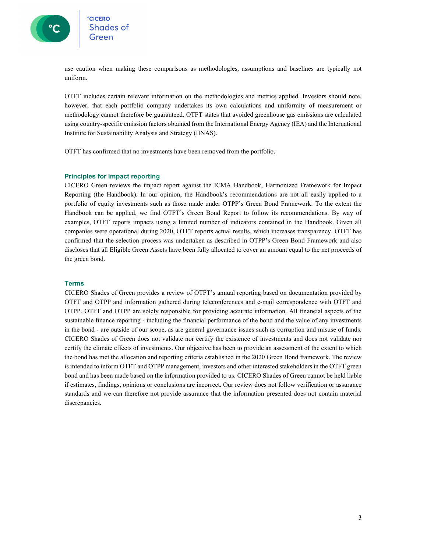

use caution when making these comparisons as methodologies, assumptions and baselines are typically not uniform.

OTFT includes certain relevant information on the methodologies and metrics applied. Investors should note, however, that each portfolio company undertakes its own calculations and uniformity of measurement or methodology cannot therefore be guaranteed. OTFT states that avoided greenhouse gas emissions are calculated using country-specific emission factors obtained from the International Energy Agency (IEA) and the International Institute for Sustainability Analysis and Strategy (IINAS).

OTFT has confirmed that no investments have been removed from the portfolio.

#### Principles for impact reporting

CICERO Green reviews the impact report against the ICMA Handbook, Harmonized Framework for Impact Reporting (the Handbook). In our opinion, the Handbook's recommendations are not all easily applied to a portfolio of equity investments such as those made under OTPP's Green Bond Framework. To the extent the Handbook can be applied, we find OTFT's Green Bond Report to follow its recommendations. By way of examples, OTFT reports impacts using a limited number of indicators contained in the Handbook. Given all companies were operational during 2020, OTFT reports actual results, which increases transparency. OTFT has confirmed that the selection process was undertaken as described in OTPP's Green Bond Framework and also discloses that all Eligible Green Assets have been fully allocated to cover an amount equal to the net proceeds of the green bond.

#### Terms

CICERO Shades of Green provides a review of OTFT's annual reporting based on documentation provided by OTFT and OTPP and information gathered during teleconferences and e-mail correspondence with OTFT and OTPP. OTFT and OTPP are solely responsible for providing accurate information. All financial aspects of the sustainable finance reporting - including the financial performance of the bond and the value of any investments in the bond - are outside of our scope, as are general governance issues such as corruption and misuse of funds. CICERO Shades of Green does not validate nor certify the existence of investments and does not validate nor certify the climate effects of investments. Our objective has been to provide an assessment of the extent to which the bond has met the allocation and reporting criteria established in the 2020 Green Bond framework. The review is intended to inform OTFT and OTPP management, investors and other interested stakeholders in the OTFT green bond and has been made based on the information provided to us. CICERO Shades of Green cannot be held liable if estimates, findings, opinions or conclusions are incorrect. Our review does not follow verification or assurance standards and we can therefore not provide assurance that the information presented does not contain material discrepancies.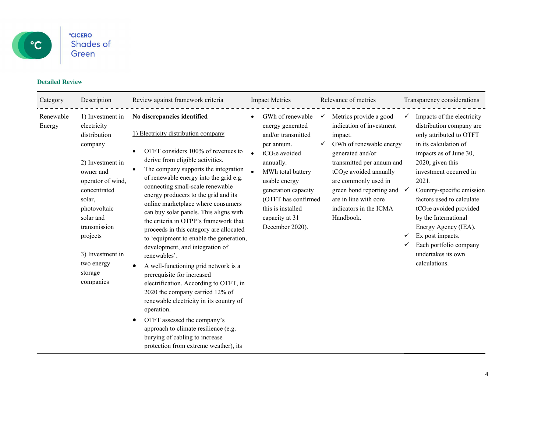

## Detailed Review

| Category            | Description                                                                                                                                                                                                                                                   | Review against framework criteria                                                                                                                                                                                                                                                                                                                                                                                                                                                                                                                                                                                                                                                                                                                                                                                                                                                                                                          | <b>Impact Metrics</b>                                                                                                                                                                                                                                             | Relevance of metrics                                                                                                                                                                                                                                                                           | Transparency considerations                                                                                                                                                                                                                                                                                                                                                                                                                            |
|---------------------|---------------------------------------------------------------------------------------------------------------------------------------------------------------------------------------------------------------------------------------------------------------|--------------------------------------------------------------------------------------------------------------------------------------------------------------------------------------------------------------------------------------------------------------------------------------------------------------------------------------------------------------------------------------------------------------------------------------------------------------------------------------------------------------------------------------------------------------------------------------------------------------------------------------------------------------------------------------------------------------------------------------------------------------------------------------------------------------------------------------------------------------------------------------------------------------------------------------------|-------------------------------------------------------------------------------------------------------------------------------------------------------------------------------------------------------------------------------------------------------------------|------------------------------------------------------------------------------------------------------------------------------------------------------------------------------------------------------------------------------------------------------------------------------------------------|--------------------------------------------------------------------------------------------------------------------------------------------------------------------------------------------------------------------------------------------------------------------------------------------------------------------------------------------------------------------------------------------------------------------------------------------------------|
| Renewable<br>Energy | 1) Investment in<br>electricity<br>distribution<br>company<br>2) Investment in<br>owner and<br>operator of wind,<br>concentrated<br>solar,<br>photovoltaic<br>solar and<br>transmission<br>projects<br>3) Investment in<br>two energy<br>storage<br>companies | No discrepancies identified<br>1) Electricity distribution company<br>OTFT considers 100% of revenues to<br>derive from eligible activities.<br>The company supports the integration<br>of renewable energy into the grid e.g.<br>connecting small-scale renewable<br>energy producers to the grid and its<br>online marketplace where consumers<br>can buy solar panels. This aligns with<br>the criteria in OTPP's framework that<br>proceeds in this category are allocated<br>to 'equipment to enable the generation,<br>development, and integration of<br>renewables'.<br>A well-functioning grid network is a<br>prerequisite for increased<br>electrification. According to OTFT, in<br>2020 the company carried 12% of<br>renewable electricity in its country of<br>operation.<br>OTFT assessed the company's<br>approach to climate resilience (e.g.<br>burying of cabling to increase<br>protection from extreme weather), its | GWh of renewable<br>energy generated<br>and/or transmitted<br>per annum.<br>tCO <sub>2</sub> e avoided<br>annually.<br>MWh total battery<br>usable energy<br>generation capacity<br>(OTFT has confirmed<br>this is installed<br>capacity at 31<br>December 2020). | Metrics provide a good<br>✓<br>indication of investment<br>impact.<br>GWh of renewable energy<br>generated and/or<br>transmitted per annum and<br>$tCO2e$ avoided annually<br>are commonly used in<br>green bond reporting and<br>are in line with core<br>indicators in the ICMA<br>Handbook. | Impacts of the electricity<br>✓<br>distribution company are<br>only attributed to OTFT<br>in its calculation of<br>impacts as of June 30,<br>2020, given this<br>investment occurred in<br>2021.<br>Country-specific emission<br>$\checkmark$<br>factors used to calculate<br>tCO <sub>2</sub> e avoided provided<br>by the International<br>Energy Agency (IEA).<br>Ex post impacts.<br>Each portfolio company<br>undertakes its own<br>calculations. |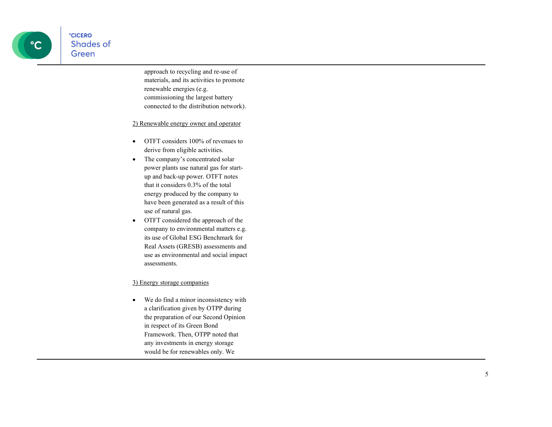**CICERO** Shades of Green

> approach to recycling and re-use of materials, and its activities to promote renewable energies (e.g. commissioning the largest battery connected to the distribution network).

2) Renewable energy owner and operator

- OTFT considers 100% of revenues to derive from eligible activities.
- The company's concentrated solar power plants use natural gas for startup and back-up power. OTFT notes that it considers 0.3% of the total energy produced by the company to have been generated as a result of this use of natural gas.
- OTFT considered the approach of the company to environmental matters e.g. its use of Global ESG Benchmark for Real Assets (GRESB) assessments and use as environmental and social impact assessments.

## 3) Energy storage companies

 We do find a minor inconsistency with a clarification given by OTPP during the preparation of our Second Opinion in respect of its Green Bond Framework. Then, OTPP noted that any investments in energy storage would be for renewables only. We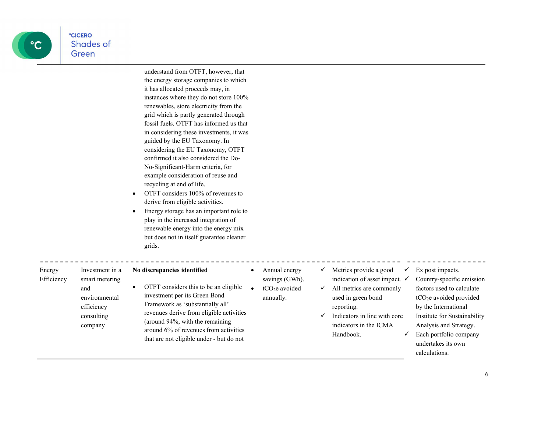

| LILERU    |  |
|-----------|--|
| Shades of |  |
|           |  |
| Green     |  |
|           |  |
|           |  |

understand from OTFT, however, that the energy storage companies to which it has allocated proceeds may, in instances where they do not store 100% renewables, store electricity from the grid which is partly generated through fossil fuels. OTFT has informed us that in considering these investments, it was guided by the EU Taxonomy. In considering the EU Taxonomy, OTFT confirmed it also considered the Do-No-Significant-Harm criteria, for example consideration of reuse and recycling at end of life.

- OTFT considers 100% of revenues to derive from eligible activities.
- Energy storage has an important role to play in the increased integration of renewable energy into the energy mix but does not in itself guarantee cleaner grids.

| Energy<br>Efficiency | Investment in a<br>smart metering                           | No discrepancies identified                                                                                                                                                                                                                                                    | Annual energy<br>savings (GWh).         | v      | Metrics provide a good<br>indication of asset impact. $\checkmark$                                                                  | Ex post impacts.<br>Country-specific emission                                                                                                                                                                       |
|----------------------|-------------------------------------------------------------|--------------------------------------------------------------------------------------------------------------------------------------------------------------------------------------------------------------------------------------------------------------------------------|-----------------------------------------|--------|-------------------------------------------------------------------------------------------------------------------------------------|---------------------------------------------------------------------------------------------------------------------------------------------------------------------------------------------------------------------|
|                      | and<br>environmental<br>efficiency<br>consulting<br>company | OTFT considers this to be an eligible<br>investment per its Green Bond<br>Framework as 'substantially all'<br>revenues derive from eligible activities<br>(around 94%, with the remaining<br>around 6% of revenues from activities<br>that are not eligible under - but do not | tCO <sub>2</sub> e avoided<br>annually. | ✓<br>v | All metrics are commonly<br>used in green bond<br>reporting.<br>Indicators in line with core<br>indicators in the ICMA<br>Handbook. | factors used to calculate<br>tCO <sub>2</sub> e avoided provided<br>by the International<br>Institute for Sustainability<br>Analysis and Strategy.<br>Each portfolio company<br>undertakes its own<br>calculations. |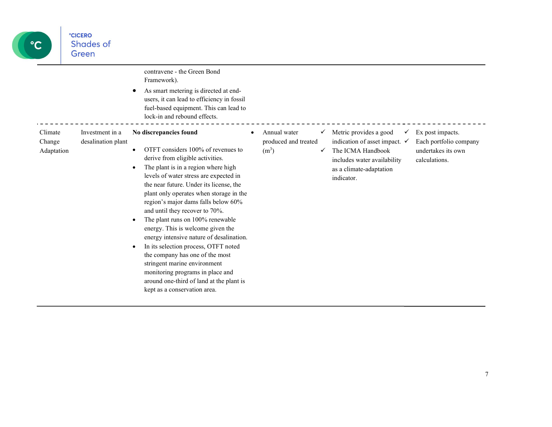

|                                 |                                       | contravene - the Green Bond<br>Framework).<br>As smart metering is directed at end-<br>users, it can lead to efficiency in fossil<br>fuel-based equipment. This can lead to<br>lock-in and rebound effects.                                                                                                                                                                                                                                                                                                                                                                                                                                                                                           |                                                           |        |                                                                                                                                                                 |                                                                                   |
|---------------------------------|---------------------------------------|-------------------------------------------------------------------------------------------------------------------------------------------------------------------------------------------------------------------------------------------------------------------------------------------------------------------------------------------------------------------------------------------------------------------------------------------------------------------------------------------------------------------------------------------------------------------------------------------------------------------------------------------------------------------------------------------------------|-----------------------------------------------------------|--------|-----------------------------------------------------------------------------------------------------------------------------------------------------------------|-----------------------------------------------------------------------------------|
| Climate<br>Change<br>Adaptation | Investment in a<br>desalination plant | No discrepancies found<br>OTFT considers 100% of revenues to<br>derive from eligible activities.<br>The plant is in a region where high<br>levels of water stress are expected in<br>the near future. Under its license, the<br>plant only operates when storage in the<br>region's major dams falls below 60%<br>and until they recover to 70%.<br>The plant runs on 100% renewable<br>٠<br>energy. This is welcome given the<br>energy intensive nature of desalination.<br>In its selection process, OTFT noted<br>the company has one of the most<br>stringent marine environment<br>monitoring programs in place and<br>around one-third of land at the plant is<br>kept as a conservation area. | Annual water<br>produced and treated<br>(m <sup>3</sup> ) | ✓<br>✓ | Metric provides a good<br>indication of asset impact. $\checkmark$<br>The ICMA Handbook<br>includes water availability<br>as a climate-adaptation<br>indicator. | Ex post impacts.<br>Each portfolio company<br>undertakes its own<br>calculations. |